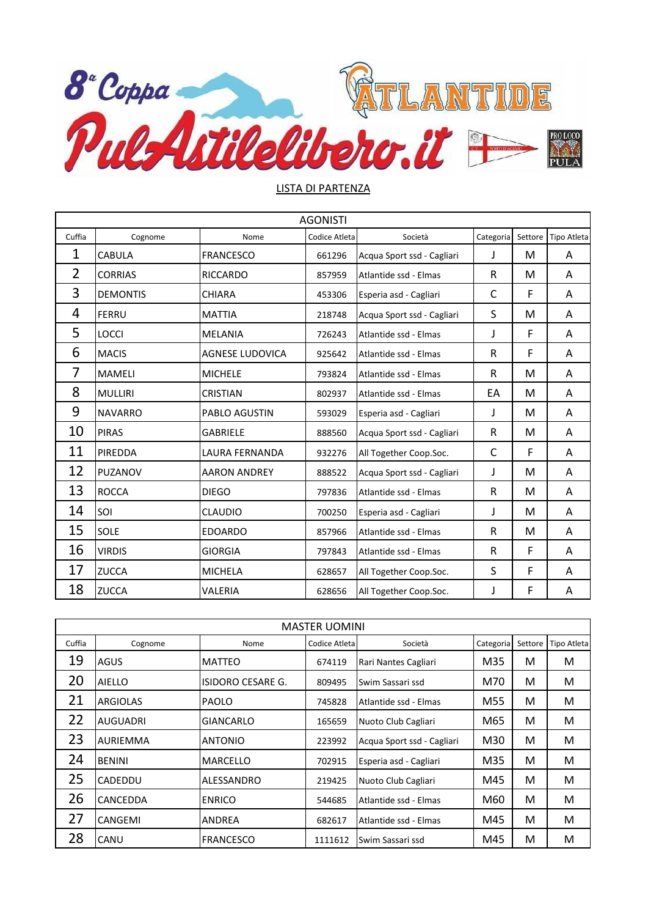

## LISTA DI PARTENZA

|                | <b>AGONISTI</b> |                        |               |                            |           |         |                    |  |  |
|----------------|-----------------|------------------------|---------------|----------------------------|-----------|---------|--------------------|--|--|
| Cuffia         | Cognome         | Nome                   | Codice Atleta | Società                    | Categoria | Settore | <b>Tipo Atleta</b> |  |  |
| $\mathbf{1}$   | <b>CABULA</b>   | <b>FRANCESCO</b>       | 661296        | Acqua Sport ssd - Cagliari | J         | М       | A                  |  |  |
| $\overline{2}$ | <b>CORRIAS</b>  | <b>RICCARDO</b>        | 857959        | Atlantide ssd - Elmas      | R         | M       | A                  |  |  |
| 3              | <b>DEMONTIS</b> | <b>CHIARA</b>          | 453306        | Esperia asd - Cagliari     | C         | F       | Α                  |  |  |
| 4              | <b>FERRU</b>    | <b>MATTIA</b>          | 218748        | Acqua Sport ssd - Cagliari | S         | М       | Α                  |  |  |
| 5              | <b>LOCCI</b>    | <b>MELANIA</b>         | 726243        | Atlantide ssd - Elmas      | J         | F       | A                  |  |  |
| 6              | <b>MACIS</b>    | <b>AGNESE LUDOVICA</b> | 925642        | Atlantide ssd - Elmas      | R         | F       | A                  |  |  |
| 7              | <b>MAMELI</b>   | <b>MICHELE</b>         | 793824        | Atlantide ssd - Elmas      | R         | M       | A                  |  |  |
| 8              | <b>MULLIRI</b>  | <b>CRISTIAN</b>        | 802937        | Atlantide ssd - Elmas      | EA        | М       | A                  |  |  |
| 9              | <b>NAVARRO</b>  | <b>PABLO AGUSTIN</b>   | 593029        | Esperia asd - Cagliari     | J         | M       | A                  |  |  |
| 10             | <b>PIRAS</b>    | <b>GABRIELE</b>        | 888560        | Acqua Sport ssd - Cagliari | R         | М       | A                  |  |  |
| 11             | PIREDDA         | <b>LAURA FERNANDA</b>  | 932276        | All Together Coop.Soc.     | C         | F       | A                  |  |  |
| 12             | PUZANOV         | <b>AARON ANDREY</b>    | 888522        | Acqua Sport ssd - Cagliari | J         | M       | A                  |  |  |
| 13             | <b>ROCCA</b>    | <b>DIEGO</b>           | 797836        | Atlantide ssd - Elmas      | R         | M       | A                  |  |  |
| 14             | SOI             | <b>CLAUDIO</b>         | 700250        | Esperia asd - Cagliari     | J         | M       | A                  |  |  |
| 15             | SOLE            | <b>EDOARDO</b>         | 857966        | Atlantide ssd - Elmas      | R         | M       | A                  |  |  |
| 16             | <b>VIRDIS</b>   | <b>GIORGIA</b>         | 797843        | Atlantide ssd - Elmas      | R         | F       | A                  |  |  |
| 17             | <b>ZUCCA</b>    | <b>MICHELA</b>         | 628657        | All Together Coop.Soc.     | S         | F       | A                  |  |  |
| 18             | <b>ZUCCA</b>    | VALERIA                | 628656        | All Together Coop.Soc.     | J         | F       | A                  |  |  |

| <b>MASTER UOMINI</b> |                 |                   |                |                            |           |         |                    |  |  |
|----------------------|-----------------|-------------------|----------------|----------------------------|-----------|---------|--------------------|--|--|
| Cuffia               | Cognome         | Nome              | Codice Atletal | Società                    | Categoria | Settore | <b>Tipo Atleta</b> |  |  |
| 19                   | AGUS            | MATTEO            | 674119         | Rari Nantes Cagliari       | M35       | м       | М                  |  |  |
| 20                   | <b>AIELLO</b>   | ISIDORO CESARE G. | 809495         | Swim Sassari ssd           | M70       | м       | M                  |  |  |
| 21                   | <b>ARGIOLAS</b> | <b>PAOLO</b>      | 745828         | Atlantide ssd - Elmas      | M55       | м       | М                  |  |  |
| 22                   | <b>AUGUADRI</b> | GIANCARLO         | 165659         | Nuoto Club Cagliari        | M65       | м       | М                  |  |  |
| 23                   | <b>AURIEMMA</b> | <b>ANTONIO</b>    | 223992         | Acqua Sport ssd - Cagliari | M30       | м       | М                  |  |  |
| 24                   | <b>BENINI</b>   | <b>MARCELLO</b>   | 702915         | Esperia asd - Cagliari     | M35       | м       | М                  |  |  |
| 25                   | CADEDDU         | ALESSANDRO        | 219425         | Nuoto Club Cagliari        | M45       | м       | М                  |  |  |
| 26                   | CANCEDDA        | <b>ENRICO</b>     | 544685         | Atlantide ssd - Elmas      | M60       | М       | М                  |  |  |
| 27                   | CANGEMI         | <b>ANDREA</b>     | 682617         | Atlantide ssd - Elmas      | M45       | м       | М                  |  |  |
| 28                   | CANU            | <b>FRANCESCO</b>  | 1111612        | Swim Sassari ssd           | M45       | м       | М                  |  |  |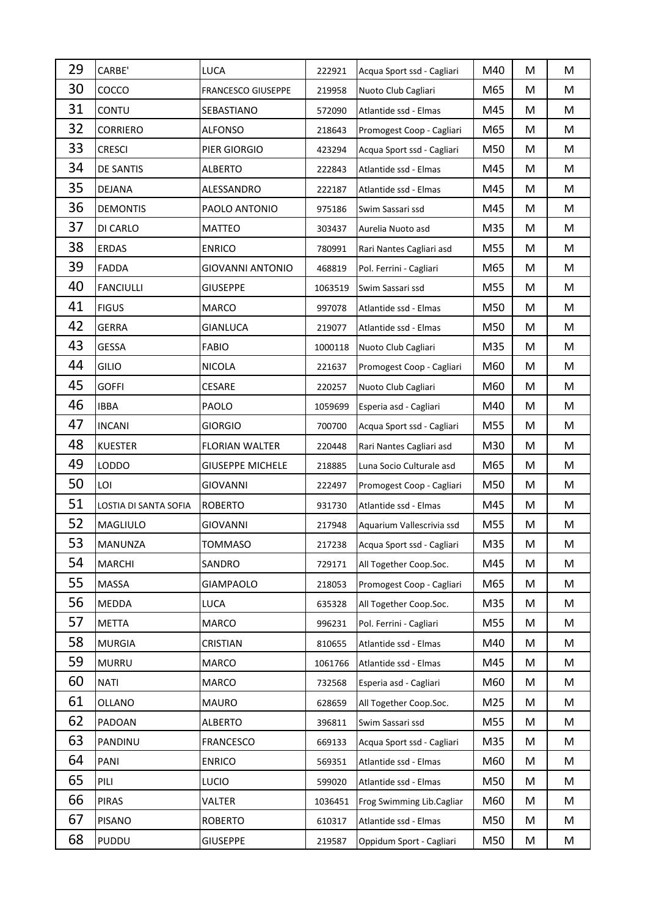| 29 | CARBE'                | LUCA                      | 222921  | Acqua Sport ssd - Cagliari | M40 | M | M |
|----|-----------------------|---------------------------|---------|----------------------------|-----|---|---|
| 30 | COCCO                 | <b>FRANCESCO GIUSEPPE</b> | 219958  | Nuoto Club Cagliari        | M65 | M | M |
| 31 | CONTU                 | SEBASTIANO                | 572090  | Atlantide ssd - Elmas      | M45 | M | M |
| 32 | <b>CORRIERO</b>       | ALFONSO                   | 218643  | Promogest Coop - Cagliari  | M65 | M | M |
| 33 | <b>CRESCI</b>         | PIER GIORGIO              | 423294  | Acqua Sport ssd - Cagliari | M50 | M | M |
| 34 | <b>DE SANTIS</b>      | <b>ALBERTO</b>            | 222843  | Atlantide ssd - Elmas      | M45 | M | M |
| 35 | <b>DEJANA</b>         | ALESSANDRO                | 222187  | Atlantide ssd - Elmas      | M45 | M | M |
| 36 | <b>DEMONTIS</b>       | PAOLO ANTONIO             | 975186  | Swim Sassari ssd           | M45 | M | M |
| 37 | DI CARLO              | <b>MATTEO</b>             | 303437  | Aurelia Nuoto asd          | M35 | M | M |
| 38 | <b>ERDAS</b>          | <b>ENRICO</b>             | 780991  | Rari Nantes Cagliari asd   | M55 | M | M |
| 39 | <b>FADDA</b>          | GIOVANNI ANTONIO          | 468819  | Pol. Ferrini - Cagliari    | M65 | M | M |
| 40 | <b>FANCIULLI</b>      | <b>GIUSEPPE</b>           | 1063519 | Swim Sassari ssd           | M55 | M | M |
| 41 | <b>FIGUS</b>          | <b>MARCO</b>              | 997078  | Atlantide ssd - Elmas      | M50 | M | M |
| 42 | <b>GERRA</b>          | GIANLUCA                  | 219077  | Atlantide ssd - Elmas      | M50 | M | M |
| 43 | <b>GESSA</b>          | <b>FABIO</b>              | 1000118 | Nuoto Club Cagliari        | M35 | M | M |
| 44 | GILIO                 | <b>NICOLA</b>             | 221637  | Promogest Coop - Cagliari  | M60 | M | M |
| 45 | <b>GOFFI</b>          | CESARE                    | 220257  | Nuoto Club Cagliari        | M60 | M | M |
| 46 | <b>IBBA</b>           | PAOLO                     | 1059699 | Esperia asd - Cagliari     | M40 | M | M |
| 47 | <b>INCANI</b>         | <b>GIORGIO</b>            | 700700  | Acqua Sport ssd - Cagliari | M55 | M | M |
| 48 | <b>KUESTER</b>        | <b>FLORIAN WALTER</b>     | 220448  | Rari Nantes Cagliari asd   | M30 | M | M |
| 49 | <b>LODDO</b>          | <b>GIUSEPPE MICHELE</b>   | 218885  | Luna Socio Culturale asd   | M65 | M | M |
| 50 | LOI                   | <b>GIOVANNI</b>           | 222497  | Promogest Coop - Cagliari  | M50 | M | M |
| 51 | LOSTIA DI SANTA SOFIA | <b>ROBERTO</b>            | 931730  | Atlantide ssd - Elmas      | M45 | М | M |
| 52 | <b>MAGLIULO</b>       | GIOVANNI                  | 217948  | Aquarium Vallescrivia ssd  | M55 | М | M |
| 53 | MANUNZA               | TOMMASO                   | 217238  | Acqua Sport ssd - Cagliari | M35 | M | M |
| 54 | <b>MARCHI</b>         | SANDRO                    | 729171  | All Together Coop.Soc.     | M45 | М | M |
| 55 | MASSA                 | GIAMPAOLO                 | 218053  | Promogest Coop - Cagliari  | M65 | M | M |
| 56 | MEDDA                 | LUCA                      | 635328  | All Together Coop.Soc.     | M35 | М | M |
| 57 | <b>METTA</b>          | <b>MARCO</b>              | 996231  | Pol. Ferrini - Cagliari    | M55 | М | M |
| 58 | <b>MURGIA</b>         | CRISTIAN                  | 810655  | Atlantide ssd - Elmas      | M40 | М | M |
| 59 | <b>MURRU</b>          | <b>MARCO</b>              | 1061766 | Atlantide ssd - Elmas      | M45 | М | M |
| 60 | <b>NATI</b>           | <b>MARCO</b>              | 732568  | Esperia asd - Cagliari     | M60 | M | M |
| 61 | OLLANO                | <b>MAURO</b>              | 628659  | All Together Coop.Soc.     | M25 | M | M |
| 62 | PADOAN                | <b>ALBERTO</b>            | 396811  | Swim Sassari ssd           | M55 | M | M |
| 63 | PANDINU               | <b>FRANCESCO</b>          | 669133  | Acqua Sport ssd - Cagliari | M35 | M | M |
|    |                       |                           |         |                            |     |   |   |
| 64 | PANI                  | <b>ENRICO</b>             | 569351  | Atlantide ssd - Elmas      | M60 | M | M |
| 65 | PILI                  | LUCIO                     | 599020  | Atlantide ssd - Elmas      | M50 | M | M |
| 66 | <b>PIRAS</b>          | VALTER                    | 1036451 | Frog Swimming Lib.Cagliar  | M60 | M | M |
| 67 | <b>PISANO</b>         | <b>ROBERTO</b>            | 610317  | Atlantide ssd - Elmas      | M50 | M | M |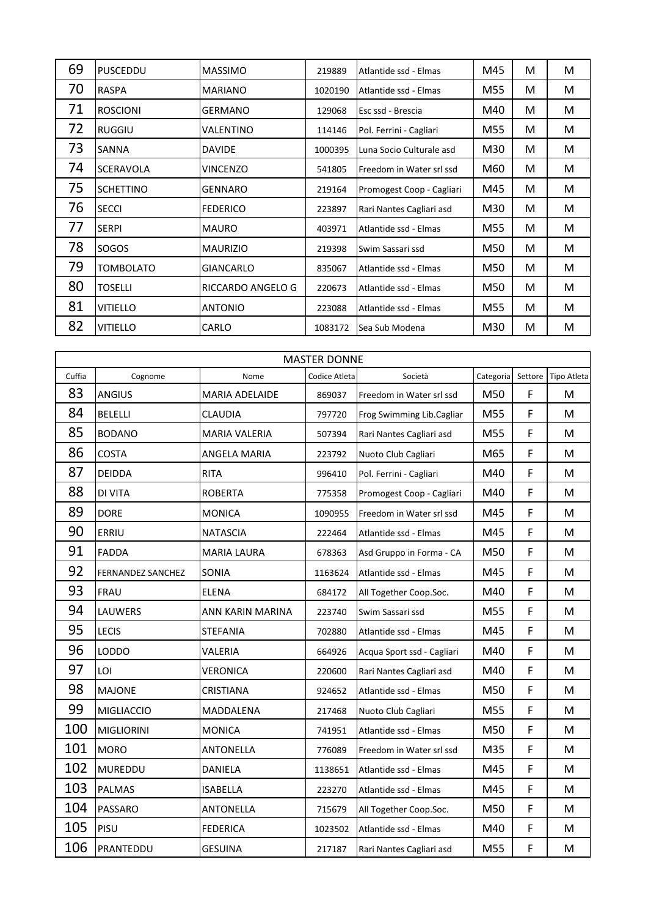| 69 | PUSCEDDU         | <b>MASSIMO</b>    | 219889  | Atlantide ssd - Elmas     | M45 | м | м |
|----|------------------|-------------------|---------|---------------------------|-----|---|---|
| 70 | <b>RASPA</b>     | <b>MARIANO</b>    | 1020190 | Atlantide ssd - Elmas     | M55 | м | M |
| 71 | <b>ROSCIONI</b>  | GERMANO           | 129068  | Esc ssd - Brescia         | M40 | М | м |
| 72 | <b>RUGGIU</b>    | VALENTINO         | 114146  | Pol. Ferrini - Cagliari   | M55 | м | м |
| 73 | SANNA            | <b>DAVIDE</b>     | 1000395 | Luna Socio Culturale asd  | M30 | М | м |
| 74 | <b>SCERAVOLA</b> | VINCENZO          | 541805  | Freedom in Water srl ssd  | M60 | М | м |
| 75 | <b>SCHETTINO</b> | GENNARO           | 219164  | Promogest Coop - Cagliari | M45 | м | M |
| 76 | <b>SECCI</b>     | <b>FEDERICO</b>   | 223897  | Rari Nantes Cagliari asd  | M30 | м | м |
| 77 | <b>SERPI</b>     | <b>MAURO</b>      | 403971  | Atlantide ssd - Elmas     | M55 | М | M |
| 78 | SOGOS            | <b>MAURIZIO</b>   | 219398  | Swim Sassari ssd          | M50 | м | м |
| 79 | TOMBOLATO        | GIANCARLO         | 835067  | Atlantide ssd - Elmas     | M50 | м | M |
| 80 | <b>TOSELLI</b>   | RICCARDO ANGELO G | 220673  | Atlantide ssd - Elmas     | M50 | м | м |
| 81 | <b>VITIELLO</b>  | <b>ANTONIO</b>    | 223088  | Atlantide ssd - Elmas     | M55 | м | м |
| 82 | <b>VITIELLO</b>  | CARLO             | 1083172 | Sea Sub Modena            | M30 | м | M |

| <b>MASTER DONNE</b> |                          |                       |               |                            |           |         |             |  |
|---------------------|--------------------------|-----------------------|---------------|----------------------------|-----------|---------|-------------|--|
| Cuffia              | Cognome                  | Nome                  | Codice Atleta | Società                    | Categoria | Settore | Tipo Atleta |  |
| 83                  | <b>ANGIUS</b>            | <b>MARIA ADELAIDE</b> | 869037        | Freedom in Water srl ssd   | M50       | F       | M           |  |
| 84                  | <b>BELELLI</b>           | <b>CLAUDIA</b>        | 797720        | Frog Swimming Lib.Cagliar  | M55       | F       | M           |  |
| 85                  | <b>BODANO</b>            | <b>MARIA VALERIA</b>  | 507394        | Rari Nantes Cagliari asd   | M55       | F       | M           |  |
| 86                  | <b>COSTA</b>             | ANGELA MARIA          | 223792        | Nuoto Club Cagliari        | M65       | F       | M           |  |
| 87                  | <b>DEIDDA</b>            | <b>RITA</b>           | 996410        | Pol. Ferrini - Cagliari    | M40       | F       | M           |  |
| 88                  | <b>DI VITA</b>           | <b>ROBERTA</b>        | 775358        | Promogest Coop - Cagliari  | M40       | F       | M           |  |
| 89                  | <b>DORE</b>              | <b>MONICA</b>         | 1090955       | Freedom in Water srl ssd   | M45       | F       | M           |  |
| 90                  | ERRIU                    | <b>NATASCIA</b>       | 222464        | Atlantide ssd - Elmas      | M45       | F       | M           |  |
| 91                  | <b>FADDA</b>             | <b>MARIA LAURA</b>    | 678363        | Asd Gruppo in Forma - CA   | M50       | F       | M           |  |
| 92                  | <b>FERNANDEZ SANCHEZ</b> | SONIA                 | 1163624       | Atlantide ssd - Elmas      | M45       | F       | M           |  |
| 93                  | <b>FRAU</b>              | <b>ELENA</b>          | 684172        | All Together Coop.Soc.     | M40       | F       | M           |  |
| 94                  | LAUWERS                  | ANN KARIN MARINA      | 223740        | Swim Sassari ssd           | M55       | F       | M           |  |
| 95                  | <b>LECIS</b>             | <b>STEFANIA</b>       | 702880        | Atlantide ssd - Elmas      | M45       | F       | M           |  |
| 96                  | <b>LODDO</b>             | VALERIA               | 664926        | Acqua Sport ssd - Cagliari | M40       | F       | M           |  |
| 97                  | LOI                      | VERONICA              | 220600        | Rari Nantes Cagliari asd   | M40       | F       | M           |  |
| 98                  | <b>MAJONE</b>            | <b>CRISTIANA</b>      | 924652        | Atlantide ssd - Elmas      | M50       | F       | M           |  |
| 99                  | <b>MIGLIACCIO</b>        | MADDALENA             | 217468        | Nuoto Club Cagliari        | M55       | F       | M           |  |
| 100                 | <b>MIGLIORINI</b>        | <b>MONICA</b>         | 741951        | Atlantide ssd - Elmas      | M50       | F       | M           |  |
| 101                 | <b>MORO</b>              | ANTONELLA             | 776089        | Freedom in Water srl ssd   | M35       | F       | M           |  |
| 102                 | <b>MUREDDU</b>           | <b>DANIELA</b>        | 1138651       | Atlantide ssd - Elmas      | M45       | F       | M           |  |
| 103                 | <b>PALMAS</b>            | <b>ISABELLA</b>       | 223270        | Atlantide ssd - Elmas      | M45       | F       | M           |  |
| 104                 | <b>PASSARO</b>           | ANTONELLA             | 715679        | All Together Coop.Soc.     | M50       | F       | M           |  |
| 105                 | PISU                     | <b>FEDERICA</b>       | 1023502       | Atlantide ssd - Elmas      | M40       | F       | M           |  |
| 106                 | PRANTEDDU                | <b>GESUINA</b>        | 217187        | Rari Nantes Cagliari asd   | M55       | F       | M           |  |